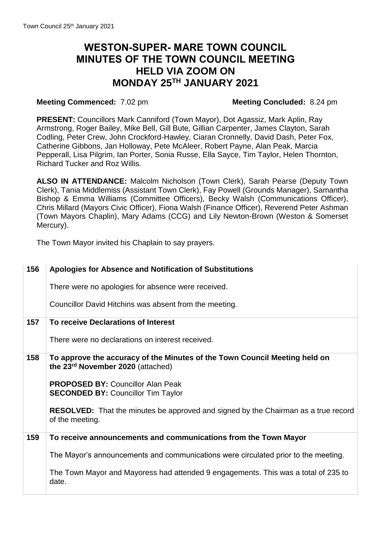## **WESTON-SUPER- MARE TOWN COUNCIL MINUTES OF THE TOWN COUNCIL MEETING HELD VIA ZOOM ON MONDAY 25TH JANUARY 2021**

## **Meeting Commenced:** 7.02 pm **Meeting Concluded:** 8.24 pm

 Pepperall, Lisa Pilgrim, Ian Porter, Sonia Russe, Ella Sayce, Tim Taylor, Helen Thornton, **PRESENT:** Councillors Mark Canniford (Town Mayor), Dot Agassiz, Mark Aplin, Ray Armstrong, Roger Bailey, Mike Bell, Gill Bute, Gillian Carpenter, James Clayton, Sarah Codling, Peter Crew, John Crockford-Hawley, Ciaran Cronnelly, David Dash, Peter Fox, Catherine Gibbons, Jan Holloway, Pete McAleer, Robert Payne, Alan Peak, Marcia Richard Tucker and Roz Willis.

 **ALSO IN ATTENDANCE:** Malcolm Nicholson (Town Clerk), Sarah Pearse (Deputy Town Clerk), Tania Middlemiss (Assistant Town Clerk), Fay Powell (Grounds Manager), Samantha Bishop & Emma Williams (Committee Officers), Becky Walsh (Communications Officer), (Town Mayors Chaplin), Mary Adams (CCG) and Lily Newton-Brown (Weston & Somerset Chris Millard (Mayors Civic Officer), Fiona Walsh (Finance Officer), Reverend Peter Ashman Mercury).

The Town Mayor invited his Chaplain to say prayers.

| 156 | Apologies for Absence and Notification of Substitutions                                                         |
|-----|-----------------------------------------------------------------------------------------------------------------|
|     | There were no apologies for absence were received.                                                              |
|     | Councillor David Hitchins was absent from the meeting.                                                          |
| 157 | To receive Declarations of Interest                                                                             |
|     | There were no declarations on interest received.                                                                |
| 158 | To approve the accuracy of the Minutes of the Town Council Meeting held on<br>the 23rd November 2020 (attached) |
|     | <b>PROPOSED BY: Councillor Alan Peak</b><br><b>SECONDED BY: Councillor Tim Taylor</b>                           |
|     | <b>RESOLVED:</b> That the minutes be approved and signed by the Chairman as a true record<br>of the meeting.    |
| 159 | To receive announcements and communications from the Town Mayor                                                 |
|     | The Mayor's announcements and communications were circulated prior to the meeting.                              |
|     | The Town Mayor and Mayoress had attended 9 engagements. This was a total of 235 to<br>date.                     |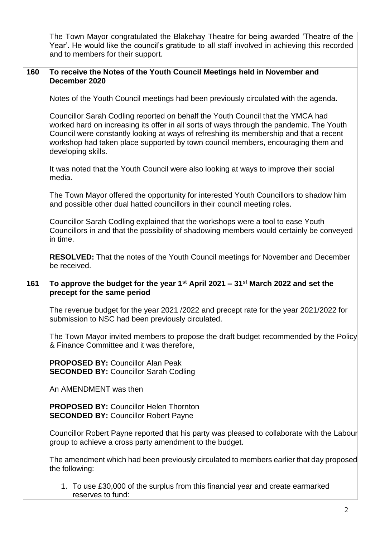|     | The Town Mayor congratulated the Blakehay Theatre for being awarded 'Theatre of the<br>Year'. He would like the council's gratitude to all staff involved in achieving this recorded<br>and to members for their support.                                                                                                                                                       |
|-----|---------------------------------------------------------------------------------------------------------------------------------------------------------------------------------------------------------------------------------------------------------------------------------------------------------------------------------------------------------------------------------|
| 160 | To receive the Notes of the Youth Council Meetings held in November and<br>December 2020                                                                                                                                                                                                                                                                                        |
|     | Notes of the Youth Council meetings had been previously circulated with the agenda.                                                                                                                                                                                                                                                                                             |
|     | Councillor Sarah Codling reported on behalf the Youth Council that the YMCA had<br>worked hard on increasing its offer in all sorts of ways through the pandemic. The Youth<br>Council were constantly looking at ways of refreshing its membership and that a recent<br>workshop had taken place supported by town council members, encouraging them and<br>developing skills. |
|     | It was noted that the Youth Council were also looking at ways to improve their social<br>media.                                                                                                                                                                                                                                                                                 |
|     | The Town Mayor offered the opportunity for interested Youth Councillors to shadow him<br>and possible other dual hatted councillors in their council meeting roles.                                                                                                                                                                                                             |
|     | Councillor Sarah Codling explained that the workshops were a tool to ease Youth<br>Councillors in and that the possibility of shadowing members would certainly be conveyed<br>in time.                                                                                                                                                                                         |
|     | <b>RESOLVED:</b> That the notes of the Youth Council meetings for November and December<br>be received.                                                                                                                                                                                                                                                                         |
| 161 | To approve the budget for the year $1^{st}$ April 2021 – 31 <sup>st</sup> March 2022 and set the<br>precept for the same period                                                                                                                                                                                                                                                 |
|     | The revenue budget for the year 2021 /2022 and precept rate for the year 2021/2022 for<br>submission to NSC had been previously circulated.                                                                                                                                                                                                                                     |
|     | The Town Mayor invited members to propose the draft budget recommended by the Policy<br>& Finance Committee and it was therefore,                                                                                                                                                                                                                                               |
|     | <b>PROPOSED BY: Councillor Alan Peak</b><br><b>SECONDED BY: Councillor Sarah Codling</b>                                                                                                                                                                                                                                                                                        |
|     | An AMENDMENT was then                                                                                                                                                                                                                                                                                                                                                           |
|     | <b>PROPOSED BY: Councillor Helen Thornton</b><br><b>SECONDED BY: Councillor Robert Payne</b>                                                                                                                                                                                                                                                                                    |
|     | Councillor Robert Payne reported that his party was pleased to collaborate with the Labour<br>group to achieve a cross party amendment to the budget.                                                                                                                                                                                                                           |
|     | The amendment which had been previously circulated to members earlier that day proposed<br>the following:                                                                                                                                                                                                                                                                       |
|     | 1. To use £30,000 of the surplus from this financial year and create earmarked<br>reserves to fund:                                                                                                                                                                                                                                                                             |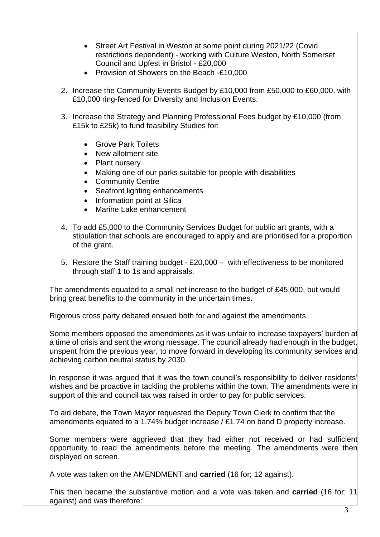- Street Art Festival in Weston at some point during 2021/22 (Covid restrictions dependent) - working with Culture Weston, North Somerset Council and Upfest in Bristol - £20,000
- Provision of Showers on the Beach -£10,000
- 2. Increase the Community Events Budget by £10,000 from £50,000 to £60,000, with £10,000 ring-fenced for Diversity and Inclusion Events.
- £15k to £25k) to fund feasibility Studies for: 3. Increase the Strategy and Planning Professional Fees budget by £10,000 (from
	- **Grove Park Toilets**
	- New allotment site
	- Plant nursery
	- Making one of our parks suitable for people with disabilities
	- Community Centre
	- Seafront lighting enhancements
	- Information point at Silica
	- Marine Lake enhancement
- 4. To add £5,000 to the Community Services Budget for public art grants, with a stipulation that schools are encouraged to apply and are prioritised for a proportion of the grant.
- 5. Restore the Staff training budget £20,000 with effectiveness to be monitored through staff 1 to 1s and appraisals.

 The amendments equated to a small net increase to the budget of £45,000, but would bring great benefits to the community in the uncertain times.

Rigorous cross party debated ensued both for and against the amendments.

 Some members opposed the amendments as it was unfair to increase taxpayers' burden at a time of crisis and sent the wrong message. The council already had enough in the budget, unspent from the previous year, to move forward in developing its community services and achieving carbon neutral status by 2030.

 In response it was argued that it was the town council's responsibility to deliver residents' wishes and be proactive in tackling the problems within the town. The amendments were in support of this and council tax was raised in order to pay for public services.

 To aid debate, the Town Mayor requested the Deputy Town Clerk to confirm that the amendments equated to a 1.74% budget increase / £1.74 on band D property increase.

 Some members were aggrieved that they had either not received or had sufficient opportunity to read the amendments before the meeting. The amendments were then displayed on screen.

A vote was taken on the AMENDMENT and **carried** (16 for; 12 against).

 This then became the substantive motion and a vote was taken and **carried** (16 for; 11 against) and was therefore: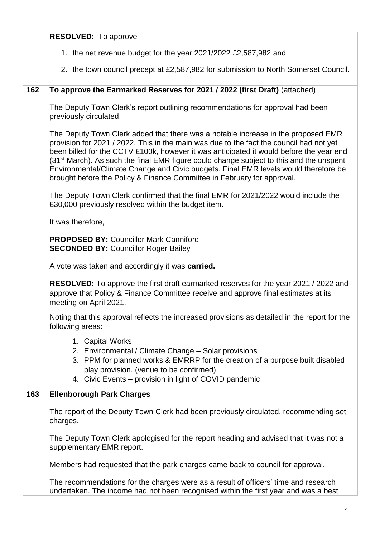|     | <b>RESOLVED:</b> To approve                                                                                                                                                                                                                                                                                                                                                                                                                                                                                                                      |
|-----|--------------------------------------------------------------------------------------------------------------------------------------------------------------------------------------------------------------------------------------------------------------------------------------------------------------------------------------------------------------------------------------------------------------------------------------------------------------------------------------------------------------------------------------------------|
|     | 1. the net revenue budget for the year 2021/2022 £2,587,982 and                                                                                                                                                                                                                                                                                                                                                                                                                                                                                  |
|     | 2. the town council precept at £2,587,982 for submission to North Somerset Council.                                                                                                                                                                                                                                                                                                                                                                                                                                                              |
| 162 | To approve the Earmarked Reserves for 2021 / 2022 (first Draft) (attached)                                                                                                                                                                                                                                                                                                                                                                                                                                                                       |
|     | The Deputy Town Clerk's report outlining recommendations for approval had been<br>previously circulated.                                                                                                                                                                                                                                                                                                                                                                                                                                         |
|     | The Deputy Town Clerk added that there was a notable increase in the proposed EMR<br>provision for 2021 / 2022. This in the main was due to the fact the council had not yet<br>been billed for the CCTV £100k, however it was anticipated it would before the year end<br>(31 <sup>st</sup> March). As such the final EMR figure could change subject to this and the unspent<br>Environmental/Climate Change and Civic budgets. Final EMR levels would therefore be<br>brought before the Policy & Finance Committee in February for approval. |
|     | The Deputy Town Clerk confirmed that the final EMR for 2021/2022 would include the<br>£30,000 previously resolved within the budget item.                                                                                                                                                                                                                                                                                                                                                                                                        |
|     | It was therefore,                                                                                                                                                                                                                                                                                                                                                                                                                                                                                                                                |
|     | <b>PROPOSED BY: Councillor Mark Canniford</b><br><b>SECONDED BY: Councillor Roger Bailey</b>                                                                                                                                                                                                                                                                                                                                                                                                                                                     |
|     | A vote was taken and accordingly it was carried.                                                                                                                                                                                                                                                                                                                                                                                                                                                                                                 |
|     | RESOLVED: To approve the first draft earmarked reserves for the year 2021 / 2022 and<br>approve that Policy & Finance Committee receive and approve final estimates at its<br>meeting on April 2021.                                                                                                                                                                                                                                                                                                                                             |
|     | Noting that this approval reflects the increased provisions as detailed in the report for the<br>following areas:                                                                                                                                                                                                                                                                                                                                                                                                                                |
|     | 1. Capital Works<br>2. Environmental / Climate Change – Solar provisions<br>3. PPM for planned works & EMRRP for the creation of a purpose built disabled<br>play provision. (venue to be confirmed)<br>4. Civic Events - provision in light of COVID pandemic                                                                                                                                                                                                                                                                                   |
| 163 | <b>Ellenborough Park Charges</b>                                                                                                                                                                                                                                                                                                                                                                                                                                                                                                                 |
|     | The report of the Deputy Town Clerk had been previously circulated, recommending set<br>charges.                                                                                                                                                                                                                                                                                                                                                                                                                                                 |
|     | The Deputy Town Clerk apologised for the report heading and advised that it was not a<br>supplementary EMR report.                                                                                                                                                                                                                                                                                                                                                                                                                               |
|     | Members had requested that the park charges came back to council for approval.                                                                                                                                                                                                                                                                                                                                                                                                                                                                   |
|     | The recommendations for the charges were as a result of officers' time and research<br>undertaken. The income had not been recognised within the first year and was a best                                                                                                                                                                                                                                                                                                                                                                       |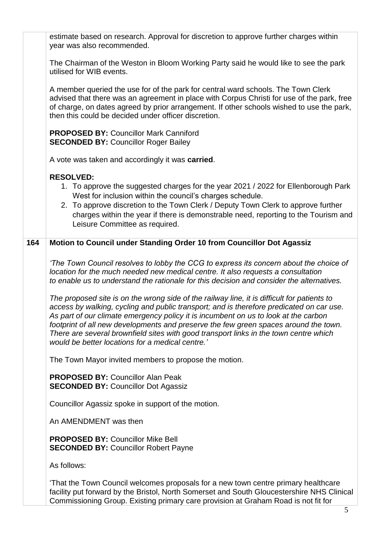The Chairman of the Weston in Bloom Working Party said he would like to see the park A member queried the use for of the park for central ward schools. The Town Clerk of charge, on dates agreed by prior arrangement. If other schools wished to use the park, then this could be decided under officer discretion.  *The proposed site is on the wrong side of the railway line, it is difficult for patients to There are several brownfield sites with good transport links in the town centre which*  estimate based on research. Approval for discretion to approve further charges within year was also recommended. utilised for WIB events. advised that there was an agreement in place with Corpus Christi for use of the park, free **PROPOSED BY:** Councillor Mark Canniford **SECONDED BY: Councillor Roger Bailey** A vote was taken and accordingly it was **carried**. **RESOLVED:**  1. To approve the suggested charges for the year 2021 / 2022 for Ellenborough Park West for inclusion within the council's charges schedule. 2. To approve discretion to the Town Clerk / Deputy Town Clerk to approve further charges within the year if there is demonstrable need, reporting to the Tourism and Leisure Committee as required. **164 Motion to Council under Standing Order 10 from Councillor Dot Agassiz**  *'The Town Council resolves to lobby the CCG to express its concern about the choice of location for the much needed new medical centre. It also requests a consultation to enable us to understand the rationale for this decision and consider the alternatives. access by walking, cycling and public transport; and is therefore predicated on car use. As part of our climate emergency policy it is incumbent on us to look at the carbon footprint of all new developments and preserve the few green spaces around the town. would be better locations for a medical centre.'* The Town Mayor invited members to propose the motion. **PROPOSED BY:** Councillor Alan Peak **SECONDED BY: Councillor Dot Agassiz** Councillor Agassiz spoke in support of the motion. An AMENDMENT was then **PROPOSED BY:** Councillor Mike Bell **SECONDED BY: Councillor Robert Payne** As follows: 'That the Town Council welcomes proposals for a new town centre primary healthcare facility put forward by the Bristol, North Somerset and South Gloucestershire NHS Clinical Commissioning Group. Existing primary care provision at Graham Road is not fit for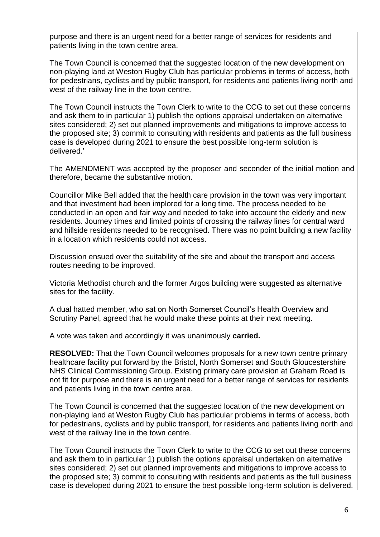purpose and there is an urgent need for a better range of services for residents and patients living in the town centre area.

The Town Council is concerned that the suggested location of the new development on non-playing land at Weston Rugby Club has particular problems in terms of access, both for pedestrians, cyclists and by public transport, for residents and patients living north and west of the railway line in the town centre.

The Town Council instructs the Town Clerk to write to the CCG to set out these concerns and ask them to in particular 1) publish the options appraisal undertaken on alternative sites considered; 2) set out planned improvements and mitigations to improve access to the proposed site; 3) commit to consulting with residents and patients as the full business case is developed during 2021 to ensure the best possible long-term solution is delivered.'

 The AMENDMENT was accepted by the proposer and seconder of the initial motion and therefore, became the substantive motion.

 and that investment had been implored for a long time. The process needed to be conducted in an open and fair way and needed to take into account the elderly and new Councillor Mike Bell added that the health care provision in the town was very important residents. Journey times and limited points of crossing the railway lines for central ward and hillside residents needed to be recognised. There was no point building a new facility in a location which residents could not access.

 Discussion ensued over the suitability of the site and about the transport and access routes needing to be improved.

Victoria Methodist church and the former Argos building were suggested as alternative sites for the facility.

A dual hatted member, who sat on North Somerset Council's Health Overview and Scrutiny Panel, agreed that he would make these points at their next meeting.

A vote was taken and accordingly it was unanimously **carried.** 

 **RESOLVED:** That the Town Council welcomes proposals for a new town centre primary not fit for purpose and there is an urgent need for a better range of services for residents healthcare facility put forward by the Bristol, North Somerset and South Gloucestershire NHS Clinical Commissioning Group. Existing primary care provision at Graham Road is and patients living in the town centre area.

The Town Council is concerned that the suggested location of the new development on non-playing land at Weston Rugby Club has particular problems in terms of access, both for pedestrians, cyclists and by public transport, for residents and patients living north and west of the railway line in the town centre.

The Town Council instructs the Town Clerk to write to the CCG to set out these concerns and ask them to in particular 1) publish the options appraisal undertaken on alternative sites considered; 2) set out planned improvements and mitigations to improve access to the proposed site; 3) commit to consulting with residents and patients as the full business case is developed during 2021 to ensure the best possible long-term solution is delivered.